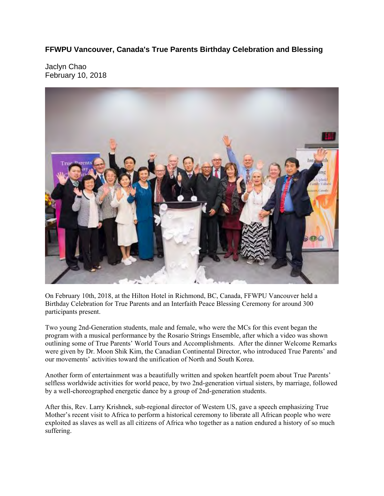**FFWPU Vancouver, Canada's True Parents Birthday Celebration and Blessing** 

Jaclyn Chao February 10, 2018



On February 10th, 2018, at the Hilton Hotel in Richmond, BC, Canada, FFWPU Vancouver held a Birthday Celebration for True Parents and an Interfaith Peace Blessing Ceremony for around 300 participants present.

Two young 2nd-Generation students, male and female, who were the MCs for this event began the program with a musical performance by the Rosario Strings Ensemble, after which a video was shown outlining some of True Parents' World Tours and Accomplishments. After the dinner Welcome Remarks were given by Dr. Moon Shik Kim, the Canadian Continental Director, who introduced True Parents' and our movements' activities toward the unification of North and South Korea.

Another form of entertainment was a beautifully written and spoken heartfelt poem about True Parents' selfless worldwide activities for world peace, by two 2nd-generation virtual sisters, by marriage, followed by a well-choreographed energetic dance by a group of 2nd-generation students.

After this, Rev. Larry Krishnek, sub-regional director of Western US, gave a speech emphasizing True Mother's recent visit to Africa to perform a historical ceremony to liberate all African people who were exploited as slaves as well as all citizens of Africa who together as a nation endured a history of so much suffering.